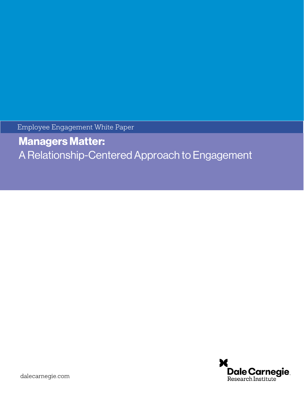Employee Engagement White Paper

Managers Matter: A Relationship-Centered Approach to Engagement

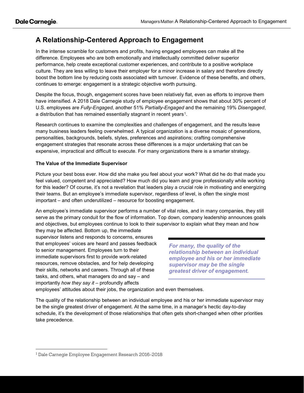## **A Relationship-Centered Approach to Engagement**

In the intense scramble for customers and profits, having engaged employees can make all the difference. Employees who are both emotionally and intellectually committed deliver superior performance, help create exceptional customer experiences, and contribute to a positive workplace culture. They are less willing to leave their employer for a minor increase in salary and therefore directly boost the bottom line by reducing costs associated with turnover. Evidence of these benefits, and others, continues to emerge: engagement is a strategic objective worth pursuing.

Despite the focus, though, engagement scores have been relatively flat, even as efforts to improve them have intensified. A 2018 Dale Carnegie study of employee engagement shows that about 30% percent of U.S. employees are *Fully-Engaged*, another 51% *Partially-Engaged* and the remaining 19% *Disengaged*, a distribution that has remained essentially stagnant in recent years<sup>1</sup>.

Research continues to examine the complexities and challenges of engagement, and the results leave many business leaders feeling overwhelmed. A typical organization is a diverse mosaic of generations, personalities, backgrounds, beliefs, styles, preferences and aspirations; crafting comprehensive engagement strategies that resonate across these differences is a major undertaking that can be expensive, impractical and difficult to execute. For many organizations there is a smarter strategy.

## **The Value of the Immediate Supervisor**

Picture your best boss ever. How did she make you feel about your work? What did he do that made you feel valued, competent and appreciated? How much did you learn and grow professionally while working for this leader? Of course, it's not a revelation that leaders play a crucial role in motivating and energizing their teams. But an employee's immediate supervisor, regardless of level, is often the single most important – and often underutilized – resource for boosting engagement.

An employee's immediate supervisor performs a number of vital roles, and in many companies, they still serve as the primary conduit for the flow of information. Top down, company leadership announces goals and objectives, but employees continue to look to their supervisor to explain what they mean and how

they may be affected. Bottom up, the immediate supervisor listens and responds to concerns, ensures that employees' voices are heard and passes feedback to senior management. Employees turn to their immediate supervisors first to provide work-related resources, remove obstacles, and for help developing their skills, networks and careers. Through all of these tasks, and others, what managers do and say – and importantly *how they say it* – profoundly affects

*For many, the quality of the relationship between an individual employee and his or her immediate supervisor may be the single greatest driver of engagement.*

employees' attitudes about their jobs, the organization and even themselves.

The quality of the relationship between an individual employee and his or her immediate supervisor may be the single greatest driver of engagement. At the same time, in a manager's hectic day-to-day schedule, it's the development of those relationships that often gets short-changed when other priorities take precedence.

<span id="page-1-0"></span> <sup>1</sup> Dale Carnegie Employee Engagement Research 2016-2018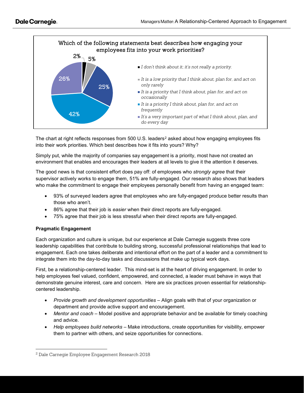

The chart at right reflects responses from 500 U.S. leaders<sup>[2](#page-2-0)</sup> asked about how engaging employees fits into their work priorities. Which best describes how it fits into yours? Why?

Simply put, while the majority of companies say engagement is a priority, most have not created an environment that enables and encourages their leaders at all levels to give it the attention it deserves.

The good news is that consistent effort does pay off: of employees who *strongly agree* that their supervisor actively works to engage them, 51% are fully-engaged. Our research also shows that leaders who make the commitment to engage their employees personally benefit from having an engaged team:

- 93% of surveyed leaders agree that employees who are fully-engaged produce better results than those who aren't.
- 86% agree that their job is *easier* when their direct reports are fully-engaged.
- 75% agree that their job is less stressful when their direct reports are fully-engaged.

## **Pragmatic Engagement**

Each organization and culture is unique, but our experience at Dale Carnegie suggests three core leadership capabilities that contribute to building strong, successful professional relationships that lead to engagement. Each one takes deliberate and intentional effort on the part of a leader and a commitment to integrate them into the day-to-day tasks and discussions that make up typical work days.

First, be a relationship-centered leader. This mind-set is at the heart of driving engagement. In order to help employees feel valued, confident, empowered, and connected, a leader must behave in ways that demonstrate genuine interest, care and concern. Here are six practices proven essential for relationshipcentered leadership.

- *Provide growth and development opportunities* Align goals with that of your organization or department and provide active support and encouragement.
- *Mentor and coach* Model positive and appropriate behavior and be available for timely coaching and advice.
- *Help employees build networks* Make introductions, create opportunities for visibility, empower them to partner with others, and seize opportunities for connections.

<span id="page-2-0"></span> <sup>2</sup> Dale Carnegie Employee Engagement Research 2018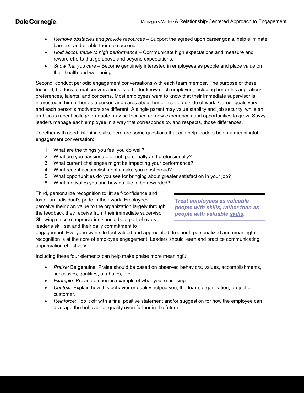- *Remove obstacles and provide resources* Support the agreed upon career goals, help eliminate barriers, and enable them to succeed.
- *Hold accountable to high performance*  Communicate high expectations and measure and reward efforts that go above and beyond expectations.
- *Show that you care* Become genuinely interested in employees as people and place value on their health and well-being.

Second, conduct periodic engagement conversations with each team member. The purpose of these focused, but less formal conversations is to better know each employee, including her or his aspirations, preferences, talents, and concerns. Most employees want to know that their immediate supervisor is interested in him or her as a person and cares about her or his life outside of work. Career goals vary, and each person's motivators are different. A single parent may value stability and job security, while an ambitious recent college graduate may be focused on new experiences and opportunities to grow. Savvy leaders manage each employee in a way that corresponds to, and respects, those differences.

Together with good listening skills, here are some questions that can help leaders begin a meaningful engagement conversation:

- 1. What are the things you feel you do well?
- 2. What are you passionate about, personally and professionally?
- 3. What current challenges might be impacting your performance?
- 4. What recent accomplishments make you most proud?
- 5. What opportunities do you see for bringing about greater satisfaction in your job?
- 6. What motivates you and how do like to be rewarded?

Third, personalize recognition to lift self-confidence and foster an individual's pride in their work. Employees perceive their own value to the organization largely through the feedback they receive from their immediate supervisor. Showing sincere appreciation should be a part of every leader's skill set and their daily commitment to

*Treat employees as valuable people with skills, rather than as people with valuable skills.*

engagement. Everyone wants to feel valued and appreciated; frequent, personalized and meaningful recognition is at the core of employee engagement. Leaders should learn and practice communicating appreciation effectively.

Including these four elements can help make praise more meaningful:

- *Praise:* Be genuine. Praise should be based on observed behaviors, values, accomplishments, successes, qualities, attributes, etc.
- *Example:* Provide a specific example of what you're praising.
- *Context:* Explain how this behavior or quality helped you, the team, organization, project or customer.
- *Reinforce:* Top it off with a final positive statement and/or suggestion for how the employee can leverage the behavior or quality even further in the future.